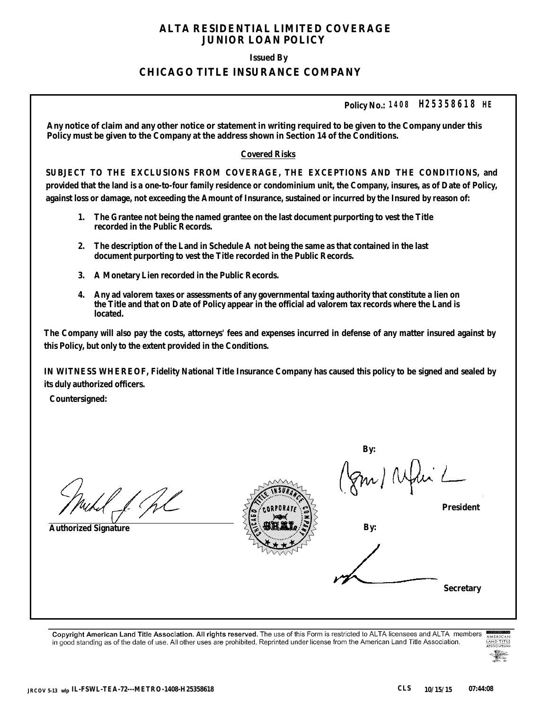# **ALTA RESIDENTIAL LIMITED COVERAGE JUNIOR LOAN POLICY**

## **Issued By**

# **CHICAGO TITLE INSURANCE COMPANY**

# **Policy No.: 1408 H25358618 HE**

**Any notice of claim and any other notice or statement in writing required to be given to the Company under this Policy must be given to the Company at the address shown in Section 14 of the Conditions.**

# **Covered Risks**

**SUBJECT TO THE EXCLUSIONS FROM COVERAGE, THE EXCEPTIONS AND THE CONDITIONS, and provided that the land is a one-to-four family residence or condominium unit, the Company, insures, as of Date of Policy, against loss or damage, not exceeding the Amount of Insurance, sustained or incurred by the Insured by reason of:** 

- **1. The Grantee not being the named grantee on the last document purporting to vest the Title recorded in the Public Records.**
- **2. The description of the Land in Schedule A not being the same as that contained in the last document purporting to vest the Title recorded in the Public Records.**
- **3. A Monetary Lien recorded in the Public Records.**
- **4. Any ad valorem taxes or assessments of any governmental taxing authority that constitute a lien on the Title and that on Date of Policy appear in the official ad valorem tax records where the Land is located.**

**The Company will also pay the costs, attorneys' fees and expenses incurred in defense of any matter insured against by this Policy, but only to the extent provided in the Conditions.**

**IN WITNESS WHEREOF, Fidelity National Title Insurance Company has caused this policy to be signed and sealed by its duly authorized officers.**

**Countersigned:**

**Authorized Signature**



**By:**

**President**

**By:**

**Secretary**

Copyright American Land Title Association. All rights reserved. The use of this Form is restricted to ALTA licensees and ALTA members in good standing as of the date of use. All other uses are prohibited. Reprinted under license from the American Land Title Association.

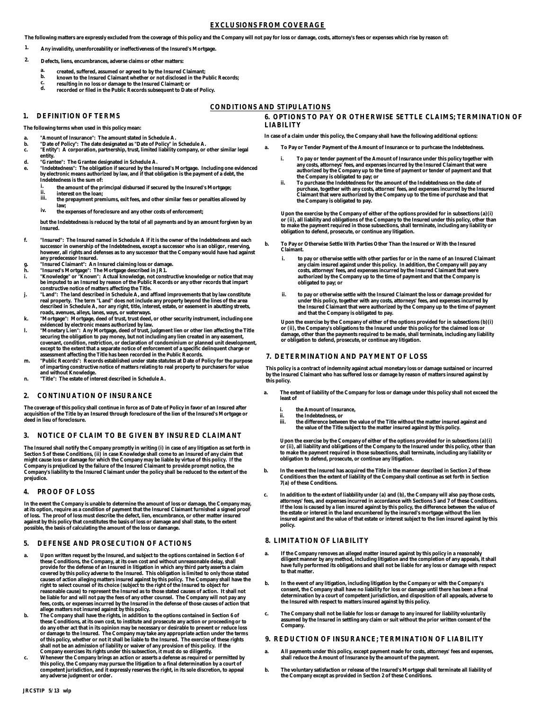#### **EXCLUSIONS FROM COVERAGE**

#### **The following matters are expressly excluded from the coverage of this policy and the Company will not pay for loss or damage, costs, attorney's fees or expenses which rise by reason of:**

- **1. Any invalidity, unenforceability or ineffectiveness of the Insured's Mortgage.**
- **2. Defects, liens, encumbrances, adverse claims or other matters:**
	- **a. b.**
	- **created, suffered, assumed or agreed to by the Insured Claimant; known to the Insured Claimant whether or not disclosed in the Public Records;**
	- **c. d. resulting in no loss or damage to the Insured Claimant; or recorded or filed in the Public Records subsequent to Date of Policy.**

#### **CONDITIONS AND STIPULATIONS**

**a.**

**b.**

**b.**

#### **1. DEFINITION OF TERMS**

**The following terms when used in this policy mean:**

- **a. "Amount of Insurance": The amount stated in Schedule A.**
- **b.**
- **c. "Date of Policy": The date designated as "Date of Policy" in Schedule A. "Entity": A corporation, partnership, trust, limited liability company, or other similar legal entity.**
- **d.**
- **e. "Grantee": The Grantee designated in Schedule A. "Indebtedness": The obligation if secured by the Insured's Mortgage. Including one evidenced by electronic means authorized by law, and if that obligation is the payment of a debt, the Indebtedness is the sum of:**
	- **i. the amount of the primcipal disbursed if secured by the Insured's Mortgage;**
	- **ii. iii. interest on the loan;**
	- **the prepayment premiums, exit fees, and other similar fees or penalties allowed by law;**
	- **iv. the expenses of foreclosure and any other costs of enforcement;**

**but the Indebtedness is reduced by the total of all payments and by an amount forgiven by an Insured.**

- **f. "Insured": The Insured named in Schedule A if it is the owner of the Indebtedness and each successor in ownership of the Indebtedness, except a successor who is an obligor, reserving, however, all rights and defenses as to any successor that the Company would have had against any predecessor Insured.**
- **g.**
- **h. i.**
- **j.** "Insured Claimant": An Insured claiming loss or damage.<br>"Insured's Mortgage": The Mortgage described in JR1.<br>"Knowledge" or "Known": Actual knowledge, not constructive knowledge or notice that may<br>be imputed to an Insured **"Land": The land described in Schedule A, and affixed improvements that by law constitute real property. The term "Land" does not include any property beyond the lines of the area**
- **k. described in Schedule A, nor any right, title, interest, estate, or easement in abutting streets, roads, avenues, alleys, lanes, ways, or waterways.**
- **l. "Mortgage": Mortgage, deed of trust, trust deed, or other security instrument, including one evidenced by electronic means authorized by law. "Monetary Lien": Any Mortgage, deed of trust, judgment lien or other lien affecting the Title**
- **securing the obligation to pay money, but not including any lien created in any easement, covenant, condition, restriction, or declaration of condominium or planned unit development, except to the extent that a separate notice of enforcement of a specific delinquent charge or assessment affecting the Title has been recorded in the Public Records.**
- **m. "Public Records": Records established under state statutes at Date of Policy for the purpose of imparting constructive notice of matters relating to real property to purchasers for value**
- **n. and without Knowledge. "Title": The estate of interest described in Schedule A.**

#### **2. CONTINUATION OF INSURANCE**

**The coverage of this policy shall continue in force as of Date of Policy in favor of an Insured after acquisition of the Title by an Insured through foreclosure of the lien of the Insured's Mortgage or deed in lieu of foreclosure.**

#### **3. NOTICE OF CLAIM TO BE GIVEN BY INSURED CLAIMANT**

The Insured shall notify the Company promptly in writing (i) in case of any litigation as set forth in<br>Section 5 of these Conditions, (ii) in case Knowledge shall come to an Insured of any claim that<br>might cause loss or da **prejudice.**

#### **4. PROOF OF LOSS**

**In the event the Company is unable to determine the amount of loss or damage, the Company may,**  at its option, require as a condition of payment that the Insured Claimant furnished a signed proof<br>of loss. The proof of loss must describe the defect, lien, encumbrance, or other matter insured **against by this policy that constitutes the basis of loss or damage and shall state, to the extent possible, the basis of calculating the amount of the loss or damange.**

#### **5. DEFENSE AND PROSECUTION OF ACTIONS**

- **a. Upon written request by the Insured, and subject to the options contained in Section 6 of these Conditions, the Company, at its own cost and without unreasonable delay, shall provide for the defense of an Insured in litigation in which any third party asserts a claim covered by this policy adverse to the Insured. This obligation is limited to only those stated causes of action alleging matters insured against by this policy. The Company shall have the right to select counsel of its choice (subject to the right of the Insured to object for reasonable cause) to represent the Insured as to those stated causes of action. It shall not be liable for and will not pay the fees of any other counsel. The Company will not pay any fees, costs, or expenses incurred by the Insured in the defense of those causes of action that**
- **b. allege matters not insured against by this policy. The Company shall have the rights, in addition to the options contained in Section 6 of these Conditions, at its own cost, to institute and prosecute any action or proceeding or to do any other act that in its opinion may be necessary or desirable to prevent or reduce loss or damage to the Insured. The Company may take any appropriate action under the terms of this policy, whether or not it shall be liable to the Insured. The exercise of these rights shall not be an admission of liability or waiver of any provision of this policy. If the Company exercises its rights under this subsection, it must do so diligently.**
- **c. Whenever the Company brings an action or asserts a defense as required or permitted by this policy, the Company may pursue the litigation to a final determination by a court of competent jurisdiction, and it expressly reserves the right, in its sole discretion, to appeal any adverse judgment or order.**

#### **6. OPTIONS TO PAY OR OTHERWISE SETTLE CLAIMS; TERMINATION OF LIABILITY**

**In case of a claim under this policy, the Company shall have the following additional options:**

**To Pay or Tender Payment of the Amount of Insurance or to purhcase the Indebtedness.**

- **i. To pay or tender payment of the Amount of Insurance under this policy together with any costs, attorneys' fees, and expenses incurred by the Insured Claimant that were authorized by the Company up to the time of payment or tender of payment and that**
- **ii. the Company is obligated to pay; or To purchase the Indebtedness for the amount of the Indebtedness on the date of purchase, together with any costs, attornes' fees, and expenses incurred by the Insured Claimant that were authorized by the Company up to the time of purchase and that the Company is obligated to pay.**

**Upon the exercise by the Company of either of the options provided for in subsections (a)(i) or (ii), all liability and obligations of the Company to the Insured under this policy, other than to make the payment required in those subsections, shall terminate, including any liability or obligation to defend, prosecute, or continue any litigation.**

- **To Pay or Otherwise Settle With Parties Other Than the Insured or With the Insured Claimant.**
- **i.** to pay or otherwise settle with other parties for or in the name of an Insured Claimant<br>any claim insured against under this policy. In addition, the Company will pay any<br>costs, attorneys' fees, and expenses incurred by th **authorized by the Company up to the time of payment and that the Company is obligated to pay; or**
- **ii. to pay or otherwise settle with the Insured Claimant the loss or damage provided for under this policy, together with any costs, attorneys' fees, and expenses incurred by the Insured Claimant that were authorized by the Company up to the time of payment and that the Company is obligated to pay.**

**Upon the exercise by the Company of either of the options provided for in subsections (b)(i) or (ii), the Company's obligations to the Insured under this policy for the claimed loss or damage, other than the payments required to be made, shall terminate, including any liability or obligation to defend, prosecute, or continue any litigation.**

#### **7. DETERMINATION AND PAYMENT OF LOSS**

**This policy is a contract of indemnity against actual monetary loss or damage sustained or incurred by the Insured Claimant who has suffered loss or damage by reason of matters insured against by this policy.**

- **a. The extent of liability of the Company for loss or damage under this policy shall not exceed the least of**
	- **the Amount of Insurance,**
	- **i. ii.**
	- **iii. the Indebtedness, or the difference between the value of the Title without the matter insured against and the value of the Title subject to the matter insured against by this policy.**

**Upon the exercise by the Company of either of the options provided for in subsections (a)(i) or (ii), all liability and obligations of the Company to the Insured under this policy, other than to make the payment required in those subsections, shall terminate, including any liability or obligation to defend, prosecute, or continue any litigation.**

- **In the event the Insured has acquired the Title in the manner described in Section 2 of these Conditions then the extent of liability of the Company shall continue as set forth in Section 7(a) of these Conditions.**
- **c. In addition to the extent of liabbility under (a) and (b), the Company will also pay those costs,**  attorneys' fees, and expenses incurred in accordance with Sections 5 and 7 of these Conditions.<br>If the loss is caused by a lien insured against by this policy, the difference between the value of **the estate or interest in the land encumbered by the insured's mortgage without the lien insured against and the value of that estate or interest subject to the lien insured against by this policy.**

#### **8. LIMITATION OF LIABILITY**

- **a. If the Company removes an alleged matter insured against by this policy in a reasonably diligent manner by any method, including litigation and the completion of any appeals, it shall have fully performed its obligations and shall not be liable for any loss or damage with respect to that matter.**
- **b. In the event of any litigation, including litigation by the Company or with the Company's consent, the Company shall have no liability for loss or damage until there has been a final determination by a court of competent jurisdiction, and disposition of all appeals, adverse to the Insured with respect to matters insured against by this policy.**
- **c. The Company shall not be liable for loss or damage to any insured for liability voluntarily assumed by the Insured in settling any claim or suit without the prior written consent of the Company.**

#### **9. REDUCTION OF INSURANCE; TERMINATION OF LIABILITY**

- **a. All payments under this policy, except payment made for costs, attorneys' fees and expenses, shall reduce the Amount of Insurance by the amount of the payment.**
- **b. The voluntary satisfaction or release of the Insured's Mortgage shall terminate all liability of the Company except as provided in Section 2 of these Conditions.**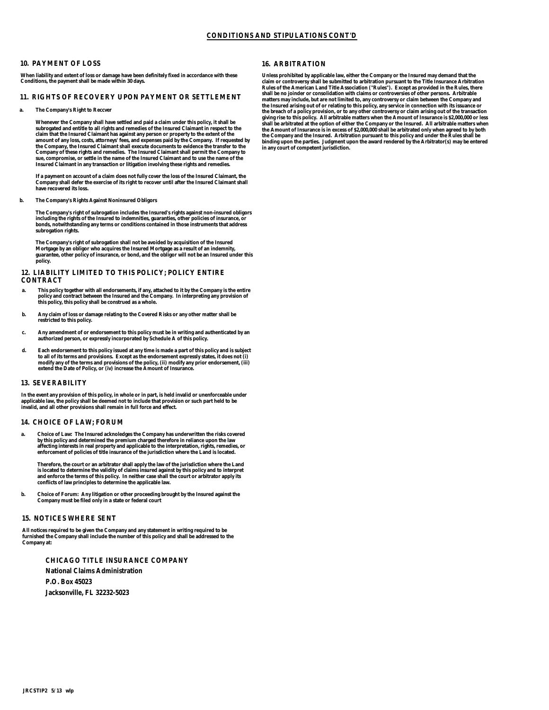#### **10. PAYMENT OF LOSS**

**When liability and extent of loss or damage have been definitely fixed in accordance with these Conditions, the payment shall be made within 30 days.**

#### **11. RIGHTS OF RECOVERY UPON PAYMENT OR SETTLEMENT**

**a. The Company's Right to Reccver**

> **Whenever the Company shall have settled and paid a claim under this policy, it shall be subrogated and entitle to all rights and remedies of the Insured Claimant in respect to the claim that the Insured Claimant has against any person or property to the extent of the**  amount of any loss, costs, attorneys' fees, and expenses paid by the Company. If requested by<br>the Company, the Insured Claimant shall execute documents to evidence the transfer to the<br>Company of these rights and remedies. sue, compromise, or settle in the name of the Insured Claimant and to use the name of the **Insured Claimant in any transaction or litigation involving these rights and remedies.**

> **If a payment on account of a claim does not fully cover the loss of the Insured Claimant, the Company shall defer the exercise of its right to recover until after the Insured Claimant shall have recovered its loss.**

#### **b. The Company's Rights Against Noninsured Obligors**

**The Company's right of subrogation includes the Insured's rights against non-insured obligors including the rights of the Insured to indemnities, guaranties, other policies of insurance, or bonds, notwithstanding any terms or conditions contained in those instruments that address subrogation rights.**

The Company's right of subrogation shall not be avoided by acquisition of the Insured<br>Mortgage by an obligor who acquires the Insured Mortgage as a result of an indemnity,<br>guarantee, other policy of insurance, or bond, and **policy.**

#### **12. LIABILITY LIMITED TO THIS POLICY; POLICY ENTIRE CONTRACT**

- **a. This policy together with all endorsements, if any, attached to it by the Company is the entire policy and contract between the Insured and the Company. In interpreting any provision of this policy, this policy shall be construed as a whole.**
- **b. Any claim of loss or damage relating to the Covered Risks or any other matter shall be restricted to this policy.**
- **c. Any amendment of or endorsement to this policy must be in writing and authenticated by an authorized person, or expressly incorporated by Schedule A of this policy.**
- **d. Each endorsement to this policy issued at any time is made a part of this policy and is subject to all of its terms and provisions. Except as the endorsement expressly states, it does not (i) modify any of the terms and provisions of the policy, (ii) modify any prior endorsement, (iii) extend the Date of Policy, or (iv) increase the Amount of Insurance.**

#### **13. SEVERABILITY**

In the event any provision of this policy, in whole or in part, is held invalid or unenforceable under<br>applicable law, the policy shall be deemed not to include that provision or such part held to be<br>invalid, and all other

#### **14. CHOICE OF LAW; FORUM**

**a. Choice of Law: The Insured acknoledges the Company has underwritten the risks covered by this policy and determined the premium charged therefore in reliance upon the law affecting interests in real property and applicable to the interpretation, rights, remedies, or enforcement of policies of title insurance of the jurisdiction where the Land is located.**

**Therefore, the court or an arbitrator shall apply the law of the jurisdiction where the Land is located to determine the validity of claims insured against by this policy and to interpret and enforce the terms of this policy. In neither case shall the court or arbitrator apply its conflicts of law principles to determine the applicable law.**

**b. Choice of Forum: Any litigation or other proceeding brought by the Insured against the Company must be filed only in a state or federal court**

#### **15. NOTICES WHERE SENT**

**All notices required to be given the Company and any statement in writing required to be furnished the Company shall include the number of this policy and shall be addressed to the Company at:**

**CHICAGO TITLE INSURANCE COMPANY**

**National Claims Administration**

**P.O. Box 45023**

**Jacksonville, FL 32232-5023**

### **16. ARBITRATION**

**Unless prohibited by applicable law, either the Company or the Insured may demand that the claim or controversy shall be submitted to arbitration pursuant to the Title Insurance Arbitration Rules of the American Land Title Association ("Rules"). Except as provided in the Rules, there shall be no joinder or consolidation with claims or controversies of other persons. Arbitrable matters may include, but are not limited to, any controversy or claim between the Company and the Insured arising out of or relating to this policy, any service in connection with its issuance or the breach of a policy provision, or to any other controversy or claim arising out of the transaction**  giving rise to this policy. All arbitrable matters when the Amount of Insurance is \$2,000,000 or less<br>shall be arbitrated at the option of either the Company or the Insured. All arbitrable matters when<br>the Amount of Insu **the Company and the Insured. Arbitration pursuant to this policy and under the Rules shall be binding upon the parties. Judgment upon the award rendered by the Arbitrator(s) may be entered in any court of competent jurisdiction.**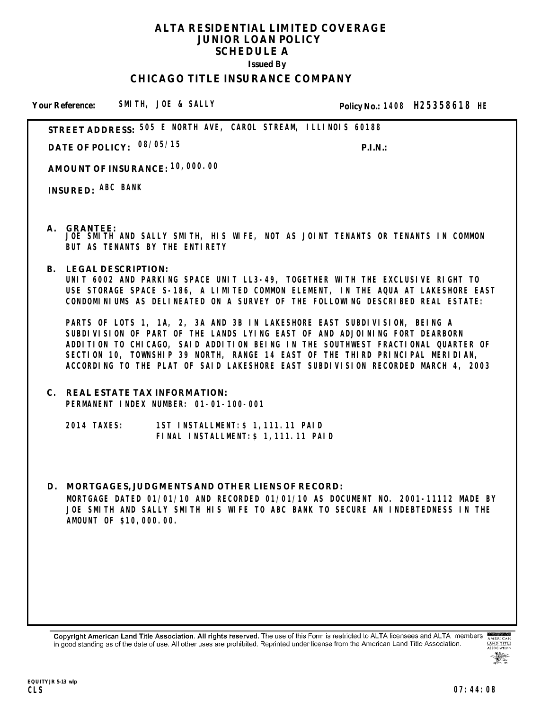# **ALTA RESIDENTIAL LIMITED COVERAGE JUNIOR LOAN POLICY SCHEDULE A**

**Issued By**

# **CHICAGO TITLE INSURANCE COMPANY**

**Your Reference: SMITH, JOE & SALLY**

**Policy No.: 1408 H25358618 HE**

**STREET ADDRESS: 505 E NORTH AVE, CAROL STREAM, ILLINOIS 60188**

**DATE OF POLICY: 08/05/15**

**P.I.N.:**

**AMOUNT OF INSURANCE: 10,000.00**

**INSURED: ABC BANK** 

- **A. GRANTEE: JOE SMITH AND SALLY SMITH, HIS WIFE, NOT AS JOINT TENANTS OR TENANTS IN COMMON BUT AS TENANTS BY THE ENTIRETY**
- **B. LEGAL DESCRIPTION:**

**UNIT 6002 AND PARKING SPACE UNIT LL3-49, TOGETHER WITH THE EXCLUSIVE RIGHT TO USE STORAGE SPACE S-186, A LIMITED COMMON ELEMENT, IN THE AQUA AT LAKESHORE EAST CONDOMINIUMS AS DELINEATED ON A SURVEY OF THE FOLLOWING DESCRIBED REAL ESTATE:**

**PARTS OF LOTS 1, 1A, 2, 3A AND 3B IN LAKESHORE EAST SUBDIVISION, BEING A SUBDIVISION OF PART OF THE LANDS LYING EAST OF AND ADJOINING FORT DEARBORN ADDITION TO CHICAGO, SAID ADDITION BEING IN THE SOUTHWEST FRACTIONAL QUARTER OF SECTION 10, TOWNSHIP 39 NORTH, RANGE 14 EAST OF THE THIRD PRINCIPAL MERIDIAN, ACCORDING TO THE PLAT OF SAID LAKESHORE EAST SUBDIVISION RECORDED MARCH 4, 2003** 

- **C. REAL ESTATE TAX INFORMATION: PERMANENT INDEX NUMBER: 01-01-100-001**
	- **2014 TAXES: 1ST INSTALLMENT:\$ 1,111.11 PAID FINAL INSTALLMENT:\$ 1,111.11 PAID**

**D. MORTGAGES, JUDGMENTS AND OTHER LIENS OF RECORD: MORTGAGE DATED 01/01/10 AND RECORDED 01/01/10 AS DOCUMENT NO. 2001-11112 MADE BY JOE SMITH AND SALLY SMITH HIS WIFE TO ABC BANK TO SECURE AN INDEBTEDNESS IN THE AMOUNT OF \$10,000.00.**

Copyright American Land Title Association. All rights reserved. The use of this Form is restricted to ALTA licensees and ALTA members in good standing as of the date of use. All other uses are prohibited. Reprinted under license from the American Land Title Association.